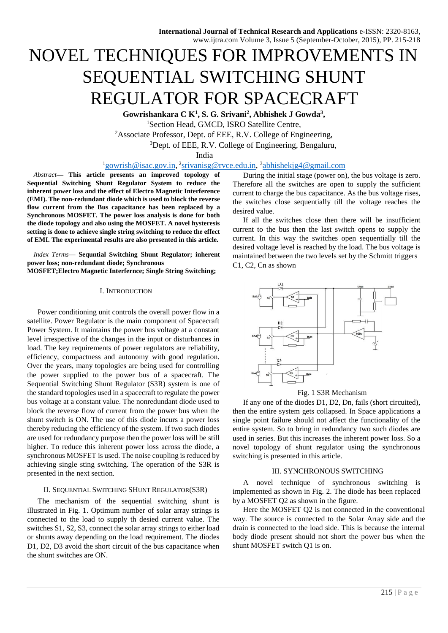# NOVEL TECHNIQUES FOR IMPROVEMENTS IN SEQUENTIAL SWITCHING SHUNT REGULATOR FOR SPACECRAFT

**Gowrishankara C K<sup>1</sup> , S. G. Srivani<sup>2</sup> , Abhishek J Gowda<sup>3</sup> ,**  <sup>1</sup>Section Head, GMCD, ISRO Satellite Centre, <sup>2</sup>Associate Professor, Dept. of EEE, R.V. College of Engineering, <sup>3</sup>Dept. of EEE, R.V. College of Engineering, Bengaluru,

India

## <sup>1</sup>gowrish@isac.gov.in,<sup>2</sup>srivanisg@rvce.edu.in,<sup>3</sup>abhishekjg4@gmail.com

*Abstract***— This article presents an improved topology of Sequential Switching Shunt Regulator System to reduce the inherent power loss and the effect of Electro Magnetic Interference (EMI). The non-redundant diode which is used to block the reverse flow current from the Bus capacitance has been replaced by a Synchronous MOSFET. The power loss analysis is done for both the diode topology and also using the MOSFET. A novel hysteresis setting is done to achieve single string switching to reduce the effect of EMI. The experimental results are also presented in this article.** 

*Index Terms***— Sequntial Switching Shunt Regulator; inherent power loss; non-redundant diode; Synchronous MOSFET;Electro Magnetic Interfernce; Single String Switching;** 

#### I. INTRODUCTION

Power conditioning unit controls the overall power flow in a satellite. Power Regulator is the main component of Spacecraft Power System. It maintains the power bus voltage at a constant level irrespective of the changes in the input or disturbances in load. The key requirements of power regulators are reliability, efficiency, compactness and autonomy with good regulation. Over the years, many topologies are being used for controlling the power supplied to the power bus of a spacecraft. The Sequential Switching Shunt Regulator (S3R) system is one of the standard topologies used in a spacecraft to regulate the power bus voltage at a constant value. The nonredundant diode used to block the reverse flow of current from the power bus when the shunt switch is ON. The use of this diode incurs a power loss thereby reducing the efficiency of the system. If two such diodes are used for redundancy purpose then the power loss will be still higher. To reduce this inherent power loss across the diode, a synchronous MOSFET is used. The noise coupling is reduced by achieving single sting switching. The operation of the S3R is presented in the next section.

## II. SEQUENTIAL SWITCHING SHUNT REGULATOR(S3R)

The mechanism of the sequential switching shunt is illustrated in Fig. 1. Optimum number of solar array strings is connected to the load to supply th desied current value. The switches S1, S2, S3, connect the solar array strings to either load or shunts away depending on the load requirement. The diodes D1, D2, D3 avoid the short circuit of the bus capacitance when the shunt switches are ON.

During the initial stage (power on), the bus voltage is zero. Therefore all the switches are open to supply the sufficient current to charge the bus capacitance. As the bus voltage rises, the switches close sequentially till the voltage reaches the desired value.

If all the switches close then there will be insufficient current to the bus then the last switch opens to supply the current. In this way the switches open sequentially till the desired voltage level is reached by the load. The bus voltage is maintained between the two levels set by the Schmitt triggers C1, C2, Cn as shown



Fig. 1 S3R Mechanism

If any one of the diodes D1, D2, Dn, fails (short circuited), then the entire system gets collapsed. In Space applications a single point failure should not affect the functionality of the entire system. So to bring in redundancy two such diodes are used in series. But this increases the inherent power loss. So a novel topology of shunt regulator using the synchronous switching is presented in this article.

### III. SYNCHRONOUS SWITCHING

A novel technique of synchronous switching is implemented as shown in Fig. 2. The diode has been replaced by a MOSFET Q2 as shown in the figure.

Here the MOSFET Q2 is not connected in the conventional way. The source is connected to the Solar Array side and the drain is connected to the load side. This is because the internal body diode present should not short the power bus when the shunt MOSFET switch Q1 is on.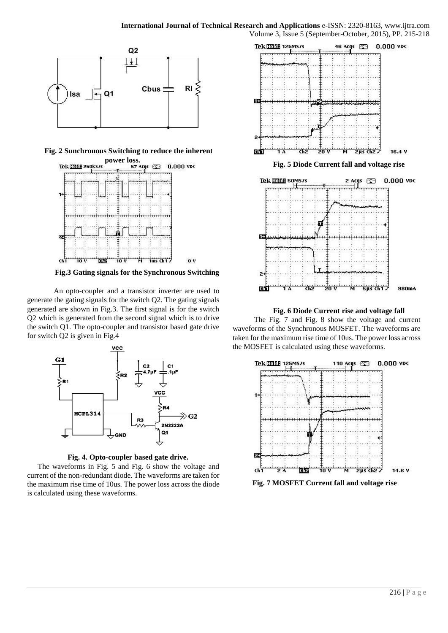

**Fig. 2 Sunchronous Switching to reduce the inherent** 



**Fig.3 Gating signals for the Synchronous Switching** 

An opto-coupler and a transistor inverter are used to generate the gating signals for the switch Q2. The gating signals generated are shown in Fig.3. The first signal is for the switch Q2 which is generated from the second signal which is to drive the switch Q1. The opto-coupler and transistor based gate drive for switch Q2 is given in Fig.4



**Fig. 4. Opto-coupler based gate drive.** 

The waveforms in Fig. 5 and Fig. 6 show the voltage and current of the non-redundant diode. The waveforms are taken for the maximum rise time of 10us. The power loss across the diode is calculated using these waveforms.



**Fig. 6 Diode Current rise and voltage fall** 

The Fig. 7 and Fig. 8 show the voltage and current waveforms of the Synchronous MOSFET. The waveforms are taken for the maximum rise time of 10us. The power loss across the MOSFET is calculated using these waveforms.



**Fig. 7 MOSFET Current fall and voltage rise**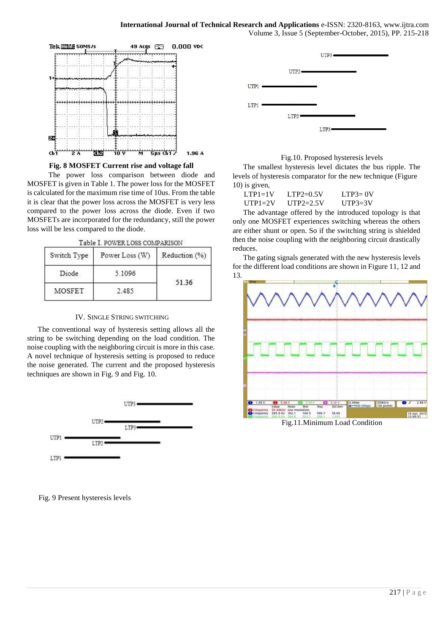

#### **Fig. 8 MOSFET Current rise and voltage fall**

The power loss comparison between diode and MOSFET is given in Table 1. The power loss for the MOSFET is calculated for the maximum rise time of 10us. From the table it is clear that the power loss across the MOSFET is very less compared to the power loss across the diode. Even if two MOSFETs are incorporated for the redundancy, still the power loss will be less compared to the diode.

Table I. POWER LOSS COMPARISON

| Switch Type | Power Loss (W) | Reduction (%) |
|-------------|----------------|---------------|
| Diode       | 5.1096         | 51.36         |
| MOSFET      | 2.485          |               |

#### IV. SINGLE STRING SWITCHING

The conventional way of hysteresis setting allows all the string to be switching depending on the load condition. The noise coupling with the neighboring circuit is more in this case. A novel technique of hysteresis setting is proposed to reduce the noise generated. The current and the proposed hysteresis techniques are shown in Fig. 9 and Fig. 10.



Fig. 9 Present hysteresis levels





The smallest hysteresis level dictates the bus ripple. The levels of hysteresis comparator for the new technique (Figure 10) is given,

| $LTP1=1V$   | $LTP2=0.5V$ | LTP $3=0V$ |
|-------------|-------------|------------|
| $UTP1 = 2V$ | $UTP2=2.5V$ | $IITP3=3V$ |

The advantage offered by the introduced topology is that only one MOSFET experiences switching whereas the others are either shunt or open. So if the switching string is shielded then the noise coupling with the neighboring circuit drastically reduces.

The gating signals generated with the new hysteresis levels for the different load conditions are shown in Figure 11, 12 and 13.



Fig.11.Minimum Load Condition